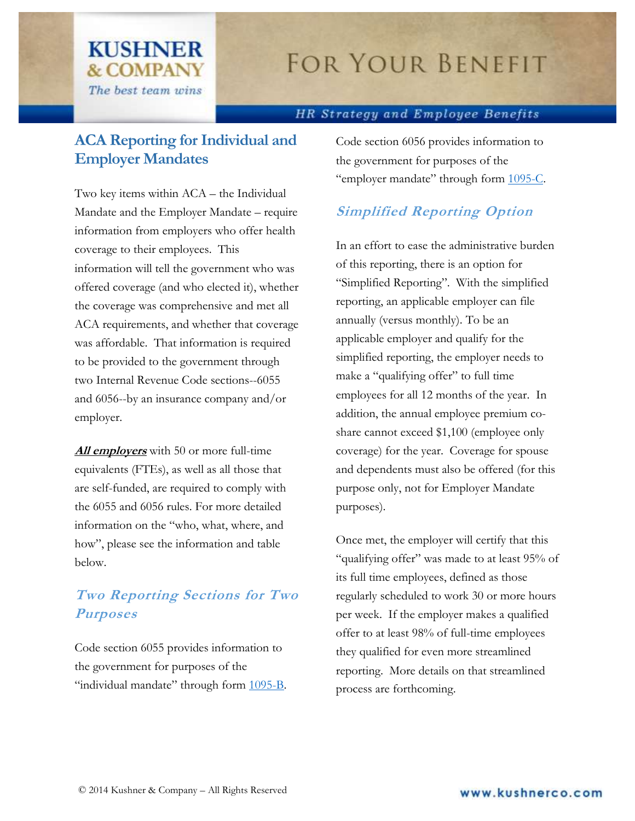## **FOR YOUR BENEFIT**

#### HR Strategy and Employee Benefits

### **ACA Reporting for Individual and Employer Mandates**

**KUSHNER** 

**& COMPANY** 

The best team wins

Two key items within ACA – the Individual Mandate and the Employer Mandate – require information from employers who offer health coverage to their employees. This information will tell the government who was offered coverage (and who elected it), whether the coverage was comprehensive and met all ACA requirements, and whether that coverage was affordable. That information is required to be provided to the government through two Internal Revenue Code sections--6055 and 6056--by an insurance company and/or employer.

**All employers** with 50 or more full-time equivalents (FTEs), as well as all those that are self-funded, are required to comply with the 6055 and 6056 rules. For more detailed information on the "who, what, where, and how", please see the information and table below.

### **Two Reporting Sections for Two Purposes**

Code section 6055 provides information to the government for purposes of the "individual mandate" through form  $1095 - B$ . Code section 6056 provides information to the government for purposes of the "employer mandate" through form [1095-C.](http://www.irs.gov/pub/irs-dft/f1095c--dft.pdf)

#### **Simplified Reporting Option**

In an effort to ease the administrative burden of this reporting, there is an option for "Simplified Reporting". With the simplified reporting, an applicable employer can file annually (versus monthly). To be an applicable employer and qualify for the simplified reporting, the employer needs to make a "qualifying offer" to full time employees for all 12 months of the year. In addition, the annual employee premium coshare cannot exceed \$1,100 (employee only coverage) for the year. Coverage for spouse and dependents must also be offered (for this purpose only, not for Employer Mandate purposes).

Once met, the employer will certify that this "qualifying offer" was made to at least 95% of its full time employees, defined as those regularly scheduled to work 30 or more hours per week. If the employer makes a qualified offer to at least 98% of full-time employees they qualified for even more streamlined reporting. More details on that streamlined process are forthcoming.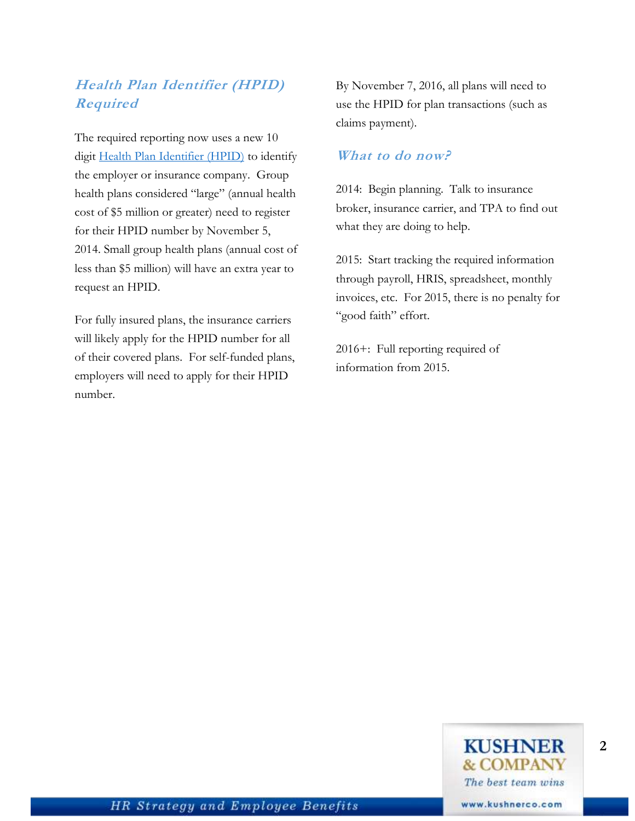### **Health Plan Identifier (HPID) Required**

The required reporting now uses a new 10 digit [Health Plan Identifier \(HPID\)](http://www.cms.gov/Regulations-and-Guidance/HIPAA-Administrative-Simplification/Affordable-Care-Act/Health-Plan-Identifier.html) to identify the employer or insurance company. Group health plans considered "large" (annual health cost of \$5 million or greater) need to register for their HPID number by November 5, 2014. Small group health plans (annual cost of less than \$5 million) will have an extra year to request an HPID.

For fully insured plans, the insurance carriers will likely apply for the HPID number for all of their covered plans. For self-funded plans, employers will need to apply for their HPID number.

By November 7, 2016, all plans will need to use the HPID for plan transactions (such as claims payment).

#### **What to do now?**

2014: Begin planning. Talk to insurance broker, insurance carrier, and TPA to find out what they are doing to help.

2015: Start tracking the required information through payroll, HRIS, spreadsheet, monthly invoices, etc. For 2015, there is no penalty for "good faith" effort.

2016+: Full reporting required of information from 2015.

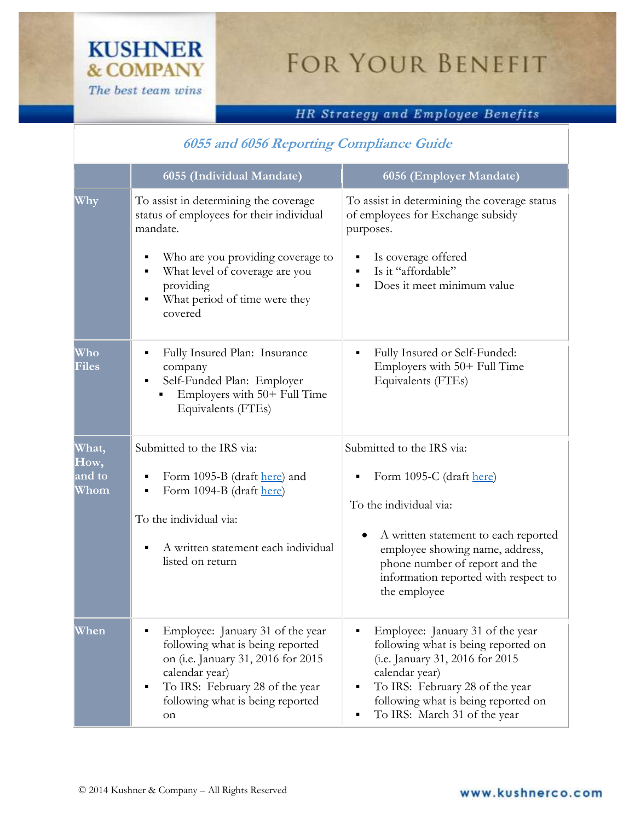# FOR YOUR BENEFIT

#### HR Strategy and Employee Benefits

#### **6055 and 6056 Reporting Compliance Guide**

|                                 | 6055 (Individual Mandate)                                                                                                                                                                                      | 6056 (Employer Mandate)                                                                                                                                                                                                                          |
|---------------------------------|----------------------------------------------------------------------------------------------------------------------------------------------------------------------------------------------------------------|--------------------------------------------------------------------------------------------------------------------------------------------------------------------------------------------------------------------------------------------------|
| Why                             | To assist in determining the coverage<br>status of employees for their individual<br>mandate.                                                                                                                  | To assist in determining the coverage status<br>of employees for Exchange subsidy<br>purposes.                                                                                                                                                   |
|                                 | Who are you providing coverage to<br>What level of coverage are you<br>٠<br>providing<br>What period of time were they<br>٠<br>covered                                                                         | Is coverage offered<br>Is it "affordable"<br>Does it meet minimum value                                                                                                                                                                          |
| Who<br><b>Files</b>             | Fully Insured Plan: Insurance<br>company<br>Self-Funded Plan: Employer<br>Employers with 50+ Full Time<br>Equivalents (FTEs)                                                                                   | Fully Insured or Self-Funded:<br>٠<br>Employers with 50+ Full Time<br>Equivalents (FTEs)                                                                                                                                                         |
| What,<br>How,<br>and to<br>Whom | Submitted to the IRS via:                                                                                                                                                                                      | Submitted to the IRS via:                                                                                                                                                                                                                        |
|                                 | Form 1095-B (draft here) and<br>Form 1094-B (draft here)                                                                                                                                                       | Form 1095-C (draft here)                                                                                                                                                                                                                         |
|                                 | To the individual via:                                                                                                                                                                                         | To the individual via:                                                                                                                                                                                                                           |
|                                 | A written statement each individual<br>listed on return                                                                                                                                                        | A written statement to each reported<br>employee showing name, address,<br>phone number of report and the<br>information reported with respect to<br>the employee                                                                                |
| When                            | Employee: January 31 of the year<br>following what is being reported<br>on (i.e. January 31, 2016 for 2015<br>calendar year)<br>To IRS: February 28 of the year<br>٠<br>following what is being reported<br>on | Employee: January 31 of the year<br>following what is being reported on<br>(i.e. January 31, 2016 for 2015<br>calendar year)<br>To IRS: February 28 of the year<br>٠<br>following what is being reported on<br>To IRS: March 31 of the year<br>٠ |

**KUSHNER** 

**& COMPANY** The best team wins